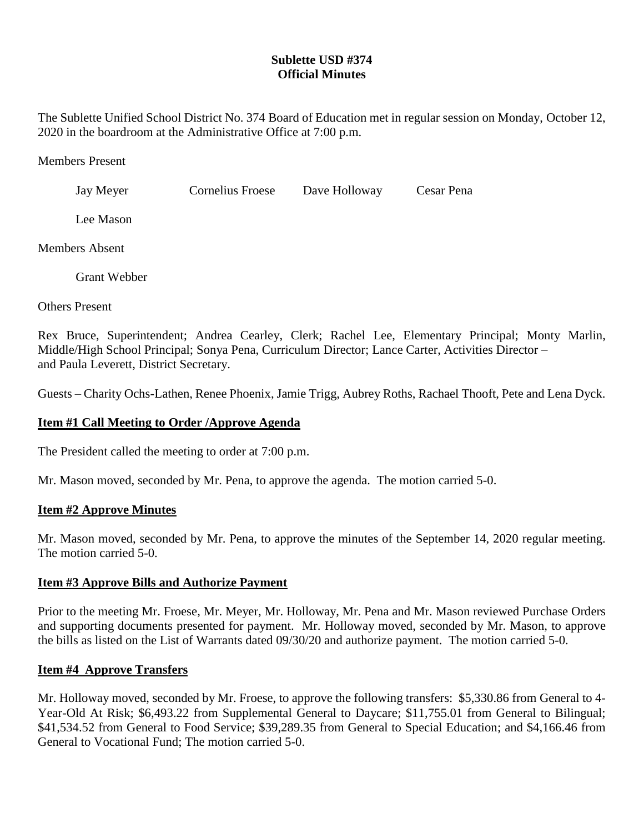# **Sublette USD #374 Official Minutes**

The Sublette Unified School District No. 374 Board of Education met in regular session on Monday, October 12, 2020 in the boardroom at the Administrative Office at 7:00 p.m.

Members Present

| Jay Meyer             | Cornelius Froese | Dave Holloway | Cesar Pena |
|-----------------------|------------------|---------------|------------|
| Lee Mason             |                  |               |            |
| <b>Members Absent</b> |                  |               |            |

Grant Webber

Others Present

Rex Bruce, Superintendent; Andrea Cearley, Clerk; Rachel Lee, Elementary Principal; Monty Marlin, Middle/High School Principal; Sonya Pena, Curriculum Director; Lance Carter, Activities Director – and Paula Leverett, District Secretary.

Guests – Charity Ochs-Lathen, Renee Phoenix, Jamie Trigg, Aubrey Roths, Rachael Thooft, Pete and Lena Dyck.

# **Item #1 Call Meeting to Order /Approve Agenda**

The President called the meeting to order at 7:00 p.m.

Mr. Mason moved, seconded by Mr. Pena, to approve the agenda. The motion carried 5-0.

## **Item #2 Approve Minutes**

Mr. Mason moved, seconded by Mr. Pena, to approve the minutes of the September 14, 2020 regular meeting. The motion carried 5-0.

## **Item #3 Approve Bills and Authorize Payment**

Prior to the meeting Mr. Froese, Mr. Meyer, Mr. Holloway, Mr. Pena and Mr. Mason reviewed Purchase Orders and supporting documents presented for payment. Mr. Holloway moved, seconded by Mr. Mason, to approve the bills as listed on the List of Warrants dated 09/30/20 and authorize payment. The motion carried 5-0.

## **Item #4 Approve Transfers**

Mr. Holloway moved, seconded by Mr. Froese, to approve the following transfers: \$5,330.86 from General to 4- Year-Old At Risk; \$6,493.22 from Supplemental General to Daycare; \$11,755.01 from General to Bilingual; \$41,534.52 from General to Food Service; \$39,289.35 from General to Special Education; and \$4,166.46 from General to Vocational Fund; The motion carried 5-0.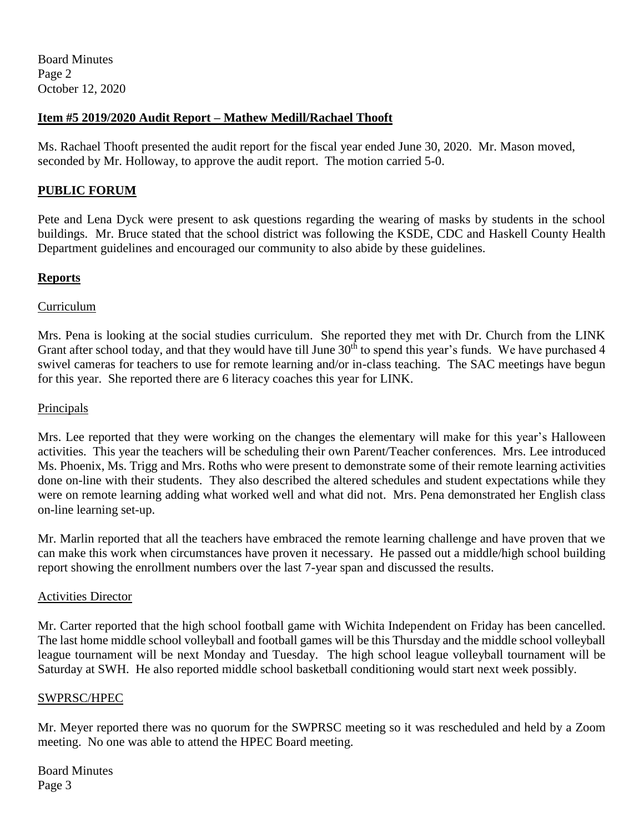# **Item #5 2019/2020 Audit Report – Mathew Medill/Rachael Thooft**

Ms. Rachael Thooft presented the audit report for the fiscal year ended June 30, 2020. Mr. Mason moved, seconded by Mr. Holloway, to approve the audit report. The motion carried 5-0.

# **PUBLIC FORUM**

Pete and Lena Dyck were present to ask questions regarding the wearing of masks by students in the school buildings. Mr. Bruce stated that the school district was following the KSDE, CDC and Haskell County Health Department guidelines and encouraged our community to also abide by these guidelines.

# **Reports**

# Curriculum

Mrs. Pena is looking at the social studies curriculum. She reported they met with Dr. Church from the LINK Grant after school today, and that they would have till June  $30<sup>th</sup>$  to spend this year's funds. We have purchased 4 swivel cameras for teachers to use for remote learning and/or in-class teaching. The SAC meetings have begun for this year. She reported there are 6 literacy coaches this year for LINK.

# Principals

Mrs. Lee reported that they were working on the changes the elementary will make for this year's Halloween activities. This year the teachers will be scheduling their own Parent/Teacher conferences. Mrs. Lee introduced Ms. Phoenix, Ms. Trigg and Mrs. Roths who were present to demonstrate some of their remote learning activities done on-line with their students. They also described the altered schedules and student expectations while they were on remote learning adding what worked well and what did not. Mrs. Pena demonstrated her English class on-line learning set-up.

Mr. Marlin reported that all the teachers have embraced the remote learning challenge and have proven that we can make this work when circumstances have proven it necessary. He passed out a middle/high school building report showing the enrollment numbers over the last 7-year span and discussed the results.

## Activities Director

Mr. Carter reported that the high school football game with Wichita Independent on Friday has been cancelled. The last home middle school volleyball and football games will be this Thursday and the middle school volleyball league tournament will be next Monday and Tuesday. The high school league volleyball tournament will be Saturday at SWH. He also reported middle school basketball conditioning would start next week possibly.

## SWPRSC/HPEC

Mr. Meyer reported there was no quorum for the SWPRSC meeting so it was rescheduled and held by a Zoom meeting. No one was able to attend the HPEC Board meeting.

Board Minutes Page 3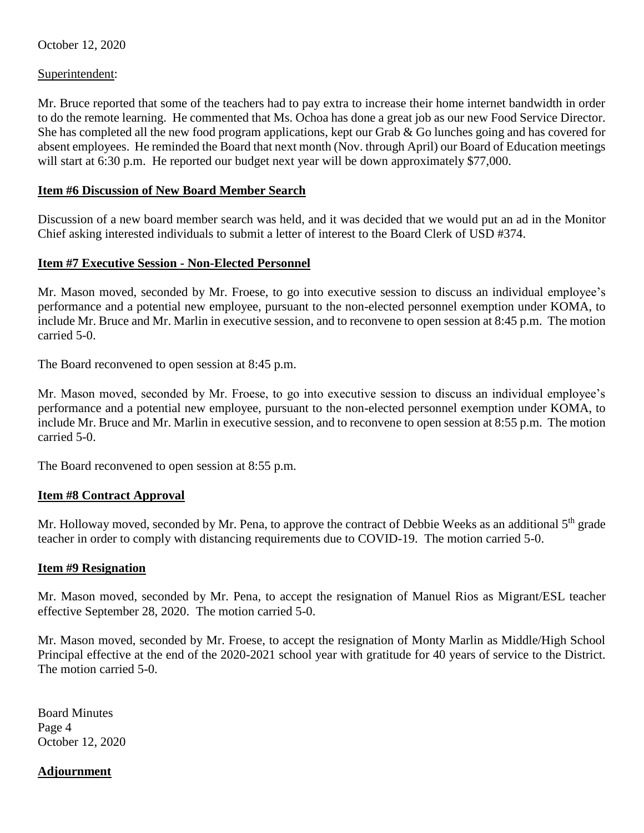October 12, 2020

Superintendent:

Mr. Bruce reported that some of the teachers had to pay extra to increase their home internet bandwidth in order to do the remote learning. He commented that Ms. Ochoa has done a great job as our new Food Service Director. She has completed all the new food program applications, kept our Grab & Go lunches going and has covered for absent employees. He reminded the Board that next month (Nov. through April) our Board of Education meetings will start at 6:30 p.m. He reported our budget next year will be down approximately \$77,000.

# **Item #6 Discussion of New Board Member Search**

Discussion of a new board member search was held, and it was decided that we would put an ad in the Monitor Chief asking interested individuals to submit a letter of interest to the Board Clerk of USD #374.

# **Item #7 Executive Session - Non-Elected Personnel**

Mr. Mason moved, seconded by Mr. Froese, to go into executive session to discuss an individual employee's performance and a potential new employee, pursuant to the non-elected personnel exemption under KOMA, to include Mr. Bruce and Mr. Marlin in executive session, and to reconvene to open session at 8:45 p.m. The motion carried 5-0.

The Board reconvened to open session at 8:45 p.m.

Mr. Mason moved, seconded by Mr. Froese, to go into executive session to discuss an individual employee's performance and a potential new employee, pursuant to the non-elected personnel exemption under KOMA, to include Mr. Bruce and Mr. Marlin in executive session, and to reconvene to open session at 8:55 p.m. The motion carried 5-0.

The Board reconvened to open session at 8:55 p.m.

## **Item #8 Contract Approval**

Mr. Holloway moved, seconded by Mr. Pena, to approve the contract of Debbie Weeks as an additional 5<sup>th</sup> grade teacher in order to comply with distancing requirements due to COVID-19. The motion carried 5-0.

## **Item #9 Resignation**

Mr. Mason moved, seconded by Mr. Pena, to accept the resignation of Manuel Rios as Migrant/ESL teacher effective September 28, 2020. The motion carried 5-0.

Mr. Mason moved, seconded by Mr. Froese, to accept the resignation of Monty Marlin as Middle/High School Principal effective at the end of the 2020-2021 school year with gratitude for 40 years of service to the District. The motion carried 5-0.

Board Minutes Page 4 October 12, 2020

# **Adjournment**